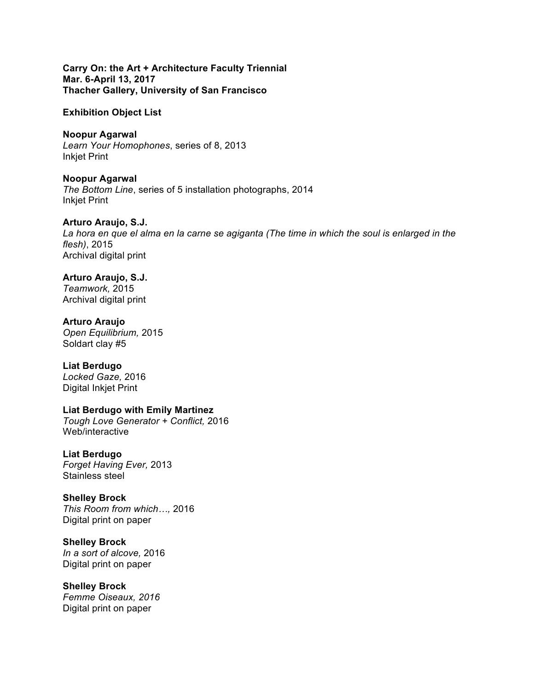**Carry On: the Art + Architecture Faculty Triennial Mar. 6-April 13, 2017 Thacher Gallery, University of San Francisco**

**Exhibition Object List**

**Noopur Agarwal** *Learn Your Homophones*, series of 8, 2013 Inkjet Print

**Noopur Agarwal** *The Bottom Line*, series of 5 installation photographs, 2014 Inkjet Print

**Arturo Araujo, S.J.** *La hora en que el alma en la carne se agiganta (The time in which the soul is enlarged in the flesh)*, 2015 Archival digital print

**Arturo Araujo, S.J.**  *Teamwork,* 2015 Archival digital print

**Arturo Araujo** *Open Equilibrium,* 2015 Soldart clay #5

**Liat Berdugo** *Locked Gaze,* 2016 Digital Inkjet Print

**Liat Berdugo with Emily Martinez** *Tough Love Generator + Conflict,* 2016 Web/interactive

**Liat Berdugo** *Forget Having Ever,* 2013 Stainless steel

**Shelley Brock** *This Room from which…,* 2016 Digital print on paper

**Shelley Brock** *In a sort of alcove,* 2016 Digital print on paper

**Shelley Brock** *Femme Oiseaux, 2016* Digital print on paper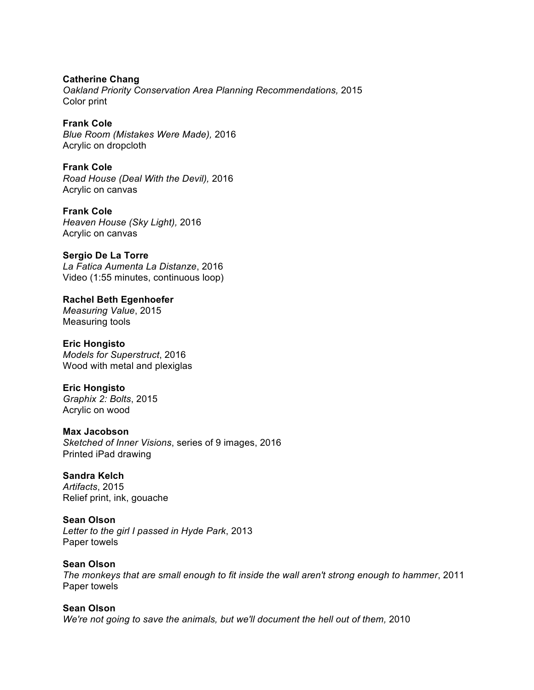**Catherine Chang** *Oakland Priority Conservation Area Planning Recommendations,* 2015 Color print

**Frank Cole** *Blue Room (Mistakes Were Made),* 2016 Acrylic on dropcloth

**Frank Cole** *Road House (Deal With the Devil),* 2016 Acrylic on canvas

**Frank Cole** *Heaven House (Sky Light),* 2016 Acrylic on canvas

**Sergio De La Torre** *La Fatica Aumenta La Distanze*, 2016 Video (1:55 minutes, continuous loop)

**Rachel Beth Egenhoefer** *Measuring Value*, 2015 Measuring tools

**Eric Hongisto** *Models for Superstruct*, 2016 Wood with metal and plexiglas

**Eric Hongisto** *Graphix 2: Bolts*, 2015 Acrylic on wood

**Max Jacobson** *Sketched of Inner Visions*, series of 9 images, 2016 Printed iPad drawing

**Sandra Kelch** *Artifacts*, 2015 Relief print, ink, gouache

**Sean Olson** *Letter to the girl I passed in Hyde Park*, 2013 Paper towels

**Sean Olson** *The monkeys that are small enough to fit inside the wall aren't strong enough to hammer*, 2011 Paper towels

**Sean Olson** We're not going to save the animals, but we'll document the hell out of them, 2010